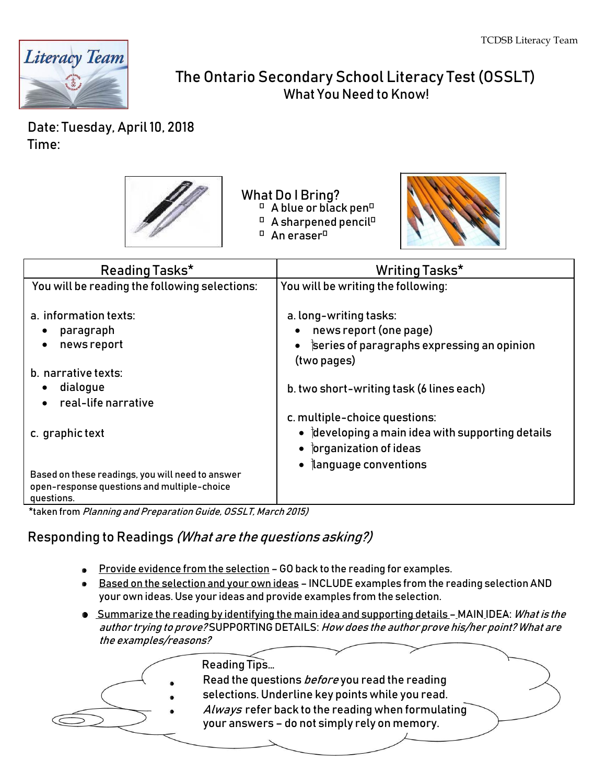

# The Ontario Secondary School Literacy Test (OSSLT) What You Need to Know!

Date: Tuesday, April 10, 2018 Time:



What Do I Bring?  $\Box$  A blue or black pen $\Box$  $\Box$  A sharpened pencil $\Box$  $\Box$  An eraser $\Box$ 



| Reading Tasks*                                                                                                | Writing Tasks*                                                                               |
|---------------------------------------------------------------------------------------------------------------|----------------------------------------------------------------------------------------------|
| You will be reading the following selections:                                                                 | You will be writing the following:                                                           |
| a. information texts:<br>paragraph                                                                            | a. long-writing tasks:<br>news report (one page)                                             |
| news report                                                                                                   | $\bullet$ series of paragraphs expressing an opinion<br>(two pages)                          |
| b. narrative texts:                                                                                           |                                                                                              |
| dialogue<br>real-life narrative                                                                               | b. two short-writing task (6 lines each)                                                     |
|                                                                                                               | c. multiple-choice questions:                                                                |
| c. graphic text                                                                                               | $\bullet$ developing a main idea with supporting details<br>$\bullet$ forganization of ideas |
| Based on these readings, you will need to answer<br>open-response questions and multiple-choice<br>questions. | $\bullet$   language conventions                                                             |

\*taken from Planning and Preparation Guide, OSSLT, March 2015)

### Responding to Readings (What are the questions asking?)

- **Provide evidence from the selection GO back to the reading for examples.**
- **Based on the selection and your own ideas INCLUDE examples from the reading selection AND** your own ideas. Use your ideas and provide examples from the selection.
- **Summarize the reading by identifying the main idea and supporting details MAIN IDEA:** What is the author trying to prove? SUPPORTING DETAILS: How does the author prove his/her point? What are the examples/reasons?